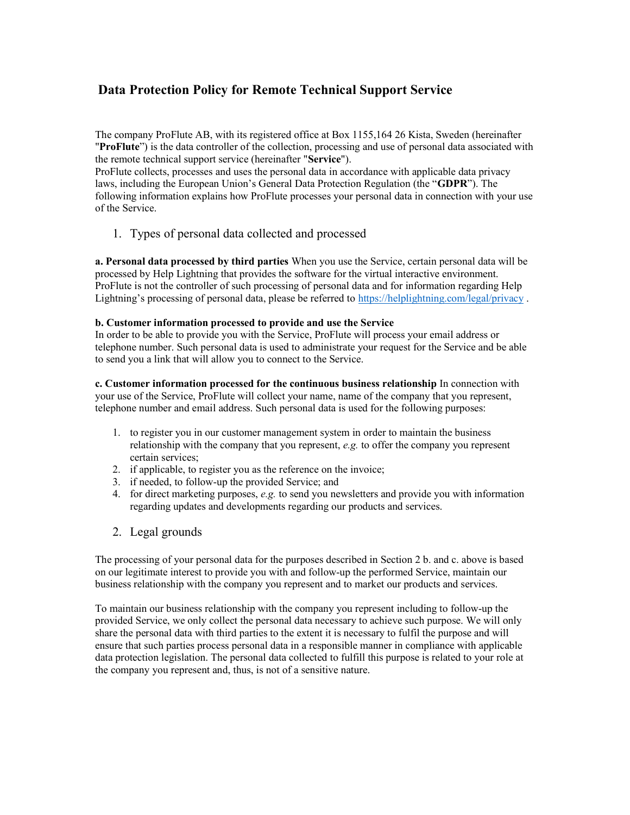## Data Protection Policy for Remote Technical Support Service

The company ProFlute AB, with its registered office at Box 1155,164 26 Kista, Sweden (hereinafter "ProFlute") is the data controller of the collection, processing and use of personal data associated with the remote technical support service (hereinafter "Service").

ProFlute collects, processes and uses the personal data in accordance with applicable data privacy laws, including the European Union's General Data Protection Regulation (the "GDPR"). The following information explains how ProFlute processes your personal data in connection with your use of the Service.

1. Types of personal data collected and processed

a. Personal data processed by third parties When you use the Service, certain personal data will be processed by Help Lightning that provides the software for the virtual interactive environment. ProFlute is not the controller of such processing of personal data and for information regarding Help Lightning's processing of personal data, please be referred to https://helplightning.com/legal/privacy .

## b. Customer information processed to provide and use the Service

In order to be able to provide you with the Service, ProFlute will process your email address or telephone number. Such personal data is used to administrate your request for the Service and be able to send you a link that will allow you to connect to the Service.

c. Customer information processed for the continuous business relationship In connection with your use of the Service, ProFlute will collect your name, name of the company that you represent, telephone number and email address. Such personal data is used for the following purposes:

- 1. to register you in our customer management system in order to maintain the business relationship with the company that you represent, e.g. to offer the company you represent certain services;
- 2. if applicable, to register you as the reference on the invoice;
- 3. if needed, to follow-up the provided Service; and
- 4. for direct marketing purposes,  $e.g.$  to send you newsletters and provide you with information regarding updates and developments regarding our products and services.
- 2. Legal grounds

The processing of your personal data for the purposes described in Section 2 b. and c. above is based on our legitimate interest to provide you with and follow-up the performed Service, maintain our business relationship with the company you represent and to market our products and services.

To maintain our business relationship with the company you represent including to follow-up the provided Service, we only collect the personal data necessary to achieve such purpose. We will only share the personal data with third parties to the extent it is necessary to fulfil the purpose and will ensure that such parties process personal data in a responsible manner in compliance with applicable data protection legislation. The personal data collected to fulfill this purpose is related to your role at the company you represent and, thus, is not of a sensitive nature.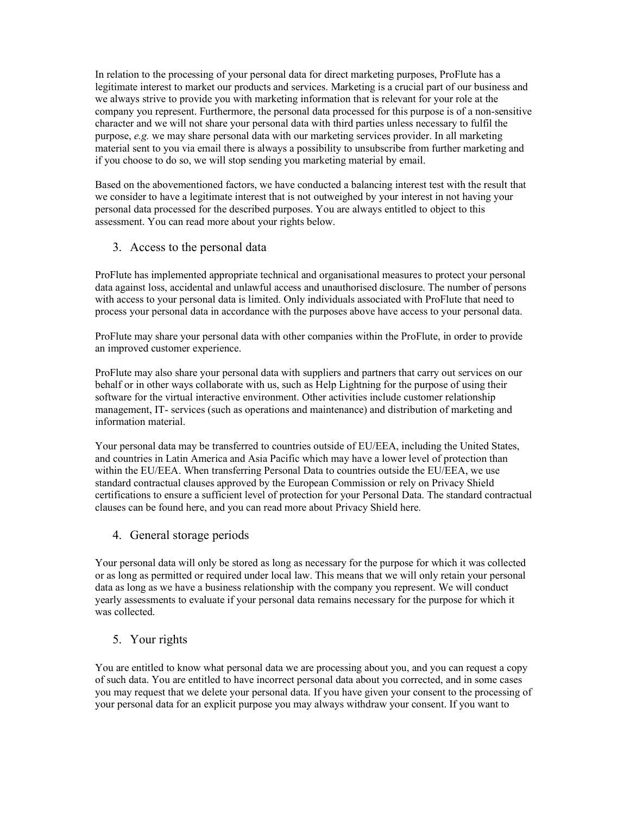In relation to the processing of your personal data for direct marketing purposes, ProFlute has a legitimate interest to market our products and services. Marketing is a crucial part of our business and we always strive to provide you with marketing information that is relevant for your role at the company you represent. Furthermore, the personal data processed for this purpose is of a non-sensitive character and we will not share your personal data with third parties unless necessary to fulfil the purpose, e.g. we may share personal data with our marketing services provider. In all marketing material sent to you via email there is always a possibility to unsubscribe from further marketing and if you choose to do so, we will stop sending you marketing material by email.

Based on the abovementioned factors, we have conducted a balancing interest test with the result that we consider to have a legitimate interest that is not outweighed by your interest in not having your personal data processed for the described purposes. You are always entitled to object to this assessment. You can read more about your rights below.

3. Access to the personal data

ProFlute has implemented appropriate technical and organisational measures to protect your personal data against loss, accidental and unlawful access and unauthorised disclosure. The number of persons with access to your personal data is limited. Only individuals associated with ProFlute that need to process your personal data in accordance with the purposes above have access to your personal data.

ProFlute may share your personal data with other companies within the ProFlute, in order to provide an improved customer experience.

ProFlute may also share your personal data with suppliers and partners that carry out services on our behalf or in other ways collaborate with us, such as Help Lightning for the purpose of using their software for the virtual interactive environment. Other activities include customer relationship management, IT- services (such as operations and maintenance) and distribution of marketing and information material.

Your personal data may be transferred to countries outside of EU/EEA, including the United States, and countries in Latin America and Asia Pacific which may have a lower level of protection than within the EU/EEA. When transferring Personal Data to countries outside the EU/EEA, we use standard contractual clauses approved by the European Commission or rely on Privacy Shield certifications to ensure a sufficient level of protection for your Personal Data. The standard contractual clauses can be found here, and you can read more about Privacy Shield here.

4. General storage periods

Your personal data will only be stored as long as necessary for the purpose for which it was collected or as long as permitted or required under local law. This means that we will only retain your personal data as long as we have a business relationship with the company you represent. We will conduct yearly assessments to evaluate if your personal data remains necessary for the purpose for which it was collected.

## 5. Your rights

You are entitled to know what personal data we are processing about you, and you can request a copy of such data. You are entitled to have incorrect personal data about you corrected, and in some cases you may request that we delete your personal data. If you have given your consent to the processing of your personal data for an explicit purpose you may always withdraw your consent. If you want to